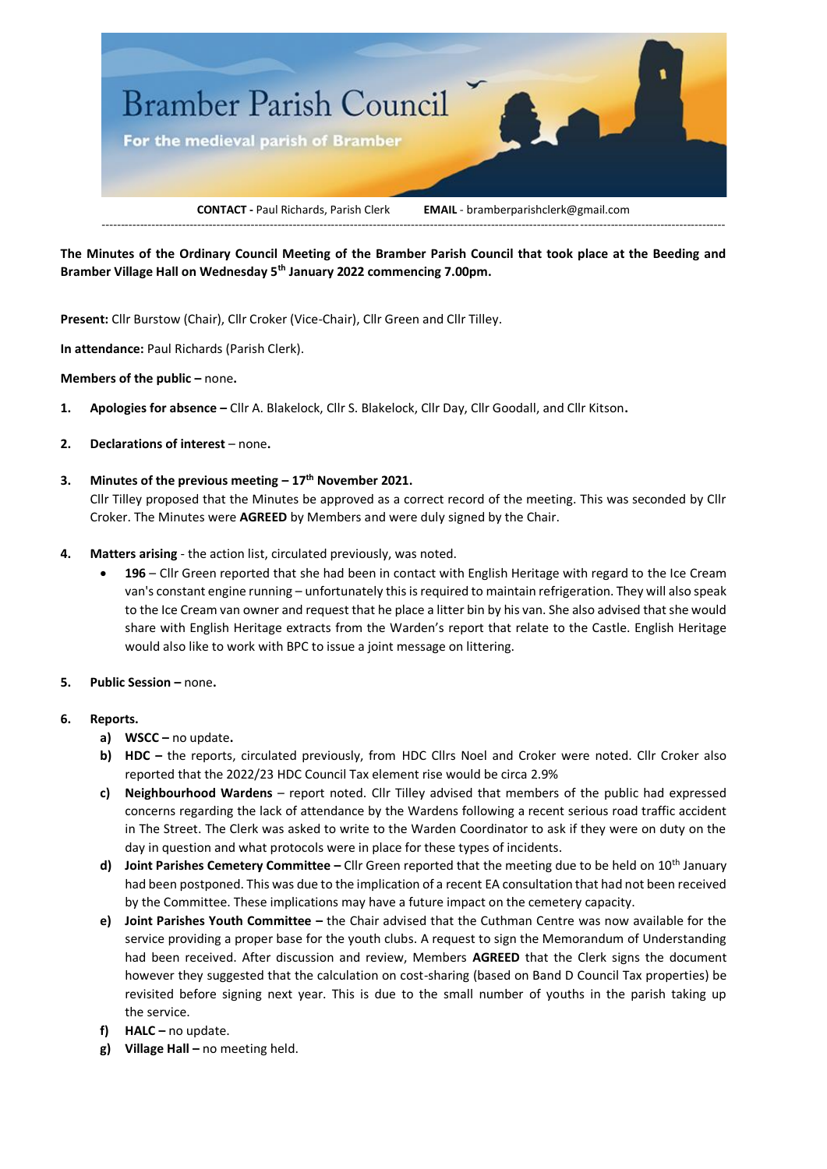

**The Minutes of the Ordinary Council Meeting of the Bramber Parish Council that took place at the Beeding and Bramber Village Hall on Wednesday 5th January 2022 commencing 7.00pm.**

**Present:** Cllr Burstow (Chair), Cllr Croker (Vice-Chair), Cllr Green and Cllr Tilley.

**In attendance:** Paul Richards (Parish Clerk).

#### **Members of the public -** none.

- **1. Apologies for absence –** Cllr A. Blakelock, Cllr S. Blakelock, Cllr Day, Cllr Goodall, and Cllr Kitson**.**
- **2. Declarations of interest** none.

# **3. Minutes of the previous meeting – 17th November 2021.**

Cllr Tilley proposed that the Minutes be approved as a correct record of the meeting. This was seconded by Cllr Croker. The Minutes were **AGREED** by Members and were duly signed by the Chair.

- **4. Matters arising**  the action list, circulated previously, was noted.
	- **196** Cllr Green reported that she had been in contact with English Heritage with regard to the Ice Cream van's constant engine running – unfortunately this is required to maintain refrigeration. They will also speak to the Ice Cream van owner and request that he place a litter bin by his van. She also advised that she would share with English Heritage extracts from the Warden's report that relate to the Castle. English Heritage would also like to work with BPC to issue a joint message on littering.
- **5. Public Session –** none**.**

#### **6. Reports.**

- **a) WSCC –** no update**.**
- **b) HDC –** the reports, circulated previously, from HDC Cllrs Noel and Croker were noted. Cllr Croker also reported that the 2022/23 HDC Council Tax element rise would be circa 2.9%
- **c) Neighbourhood Wardens**  report noted. Cllr Tilley advised that members of the public had expressed concerns regarding the lack of attendance by the Wardens following a recent serious road traffic accident in The Street. The Clerk was asked to write to the Warden Coordinator to ask if they were on duty on the day in question and what protocols were in place for these types of incidents.
- **d) Joint Parishes Cemetery Committee –** Cllr Green reported that the meeting due to be held on 10th January had been postponed. This was due to the implication of a recent EA consultation that had not been received by the Committee. These implications may have a future impact on the cemetery capacity.
- **e) Joint Parishes Youth Committee –** the Chair advised that the Cuthman Centre was now available for the service providing a proper base for the youth clubs. A request to sign the Memorandum of Understanding had been received. After discussion and review, Members **AGREED** that the Clerk signs the document however they suggested that the calculation on cost-sharing (based on Band D Council Tax properties) be revisited before signing next year. This is due to the small number of youths in the parish taking up the service.
- **f) HALC –** no update.
- **g) Village Hall –** no meeting held.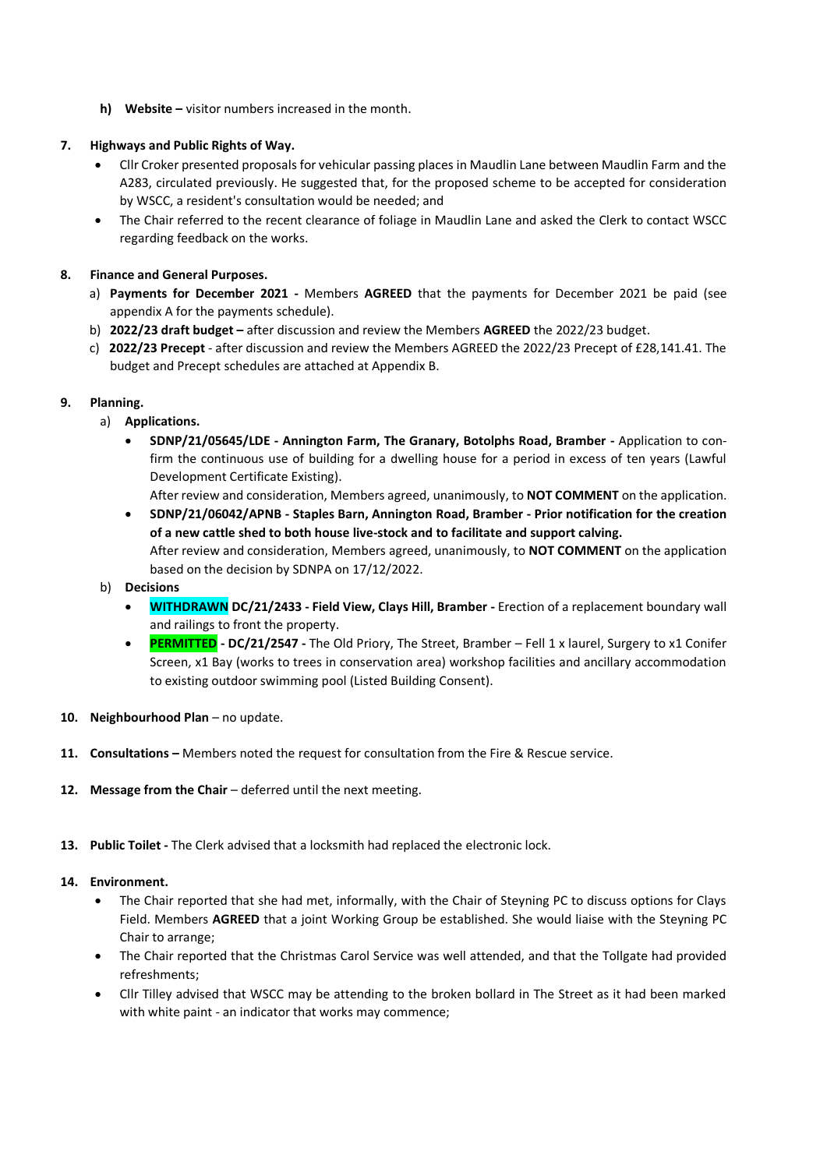**h) Website –** visitor numbers increased in the month.

### **7. Highways and Public Rights of Way.**

- Cllr Croker presented proposals for vehicular passing places in Maudlin Lane between Maudlin Farm and the A283, circulated previously. He suggested that, for the proposed scheme to be accepted for consideration by WSCC, a resident's consultation would be needed; and
- The Chair referred to the recent clearance of foliage in Maudlin Lane and asked the Clerk to contact WSCC regarding feedback on the works.

# **8. Finance and General Purposes.**

- a) **Payments for December 2021 -** Members **AGREED** that the payments for December 2021 be paid (see appendix A for the payments schedule).
- b) **2022/23 draft budget –** after discussion and review the Members **AGREED** the 2022/23 budget.
- c) **2022/23 Precept** after discussion and review the Members AGREED the 2022/23 Precept of £28,141.41. The budget and Precept schedules are attached at Appendix B.

# **9. Planning.**

- a) **Applications.**
	- **SDNP/21/05645/LDE - Annington Farm, The Granary, Botolphs Road, Bramber -** Application to confirm the continuous use of building for a dwelling house for a period in excess of ten years (Lawful Development Certificate Existing).
		- After review and consideration, Members agreed, unanimously, to **NOT COMMENT** on the application.
	- **SDNP/21/06042/APNB - Staples Barn, Annington Road, Bramber - Prior notification for the creation of a new cattle shed to both house live-stock and to facilitate and support calving.** After review and consideration, Members agreed, unanimously, to **NOT COMMENT** on the application based on the decision by SDNPA on 17/12/2022.
- b) **Decisions** 
	- **WITHDRAWN DC/21/2433 - Field View, Clays Hill, Bramber -** Erection of a replacement boundary wall and railings to front the property.
	- **PERMITTED - DC/21/2547 -** The Old Priory, The Street, Bramber Fell 1 x laurel, Surgery to x1 Conifer Screen, x1 Bay (works to trees in conservation area) workshop facilities and ancillary accommodation to existing outdoor swimming pool (Listed Building Consent).
- 10. **Neighbourhood Plan** no update.
- **11. Consultations –** Members noted the request for consultation from the Fire & Rescue service.
- 12. Message from the Chair deferred until the next meeting.
- **13. Public Toilet -** The Clerk advised that a locksmith had replaced the electronic lock.

#### **14. Environment.**

- The Chair reported that she had met, informally, with the Chair of Steyning PC to discuss options for Clays Field. Members **AGREED** that a joint Working Group be established. She would liaise with the Steyning PC Chair to arrange;
- The Chair reported that the Christmas Carol Service was well attended, and that the Tollgate had provided refreshments;
- Cllr Tilley advised that WSCC may be attending to the broken bollard in The Street as it had been marked with white paint - an indicator that works may commence;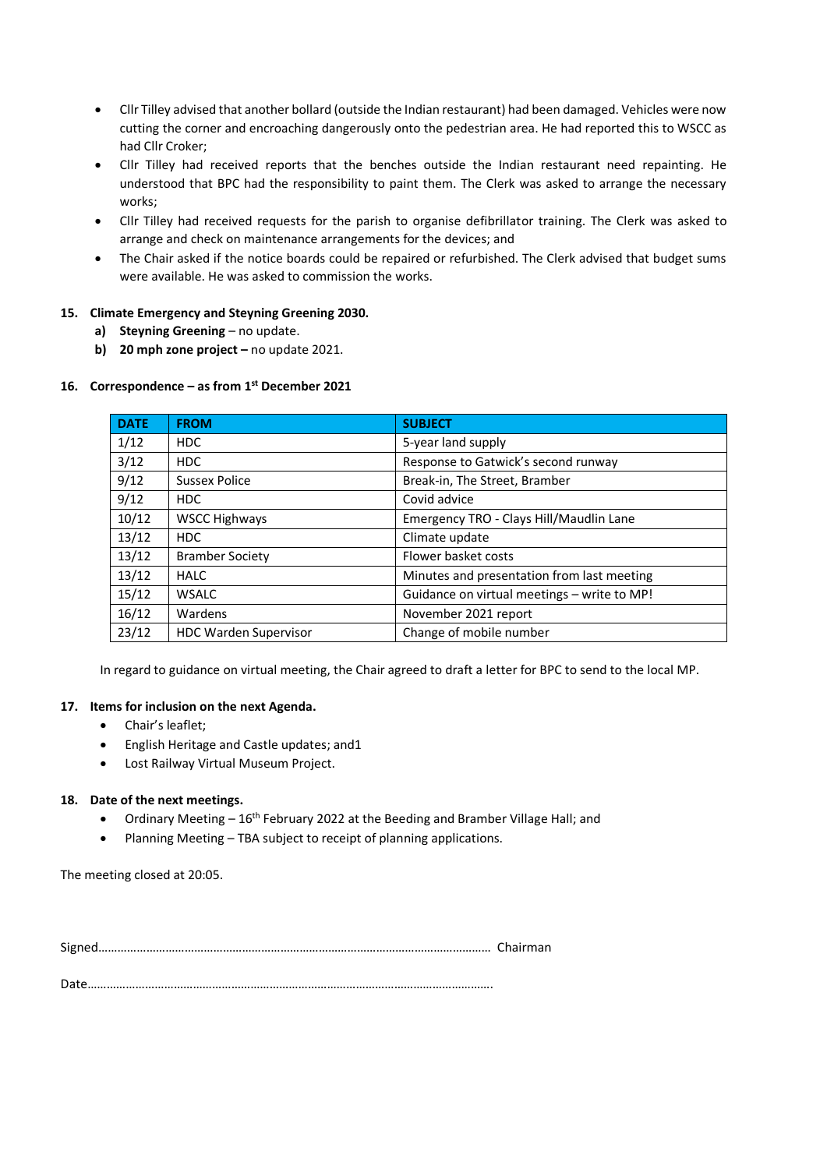- Cllr Tilley advised that another bollard (outside the Indian restaurant) had been damaged. Vehicles were now cutting the corner and encroaching dangerously onto the pedestrian area. He had reported this to WSCC as had Cllr Croker;
- Cllr Tilley had received reports that the benches outside the Indian restaurant need repainting. He understood that BPC had the responsibility to paint them. The Clerk was asked to arrange the necessary works;
- Cllr Tilley had received requests for the parish to organise defibrillator training. The Clerk was asked to arrange and check on maintenance arrangements for the devices; and
- The Chair asked if the notice boards could be repaired or refurbished. The Clerk advised that budget sums were available. He was asked to commission the works.

#### **15. Climate Emergency and Steyning Greening 2030.**

- **a) Steyning Greening** no update.
- **b) 20 mph zone project –** no update 2021.

#### **16. Correspondence – as from 1st December 2021**

| <b>DATE</b> | <b>FROM</b>                  | <b>SUBJECT</b>                              |
|-------------|------------------------------|---------------------------------------------|
| 1/12        | <b>HDC</b>                   | 5-year land supply                          |
| 3/12        | <b>HDC</b>                   | Response to Gatwick's second runway         |
| 9/12        | <b>Sussex Police</b>         | Break-in, The Street, Bramber               |
| 9/12        | <b>HDC</b>                   | Covid advice                                |
| 10/12       | <b>WSCC Highways</b>         | Emergency TRO - Clays Hill/Maudlin Lane     |
| 13/12       | HDC.                         | Climate update                              |
| 13/12       | <b>Bramber Society</b>       | Flower basket costs                         |
| 13/12       | <b>HALC</b>                  | Minutes and presentation from last meeting  |
| 15/12       | <b>WSALC</b>                 | Guidance on virtual meetings - write to MP! |
| 16/12       | Wardens                      | November 2021 report                        |
| 23/12       | <b>HDC Warden Supervisor</b> | Change of mobile number                     |

In regard to guidance on virtual meeting, the Chair agreed to draft a letter for BPC to send to the local MP.

#### **17. Items for inclusion on the next Agenda.**

- Chair's leaflet;
- English Heritage and Castle updates; and1
- Lost Railway Virtual Museum Project.

#### **18. Date of the next meetings.**

- Ordinary Meeting  $-16<sup>th</sup>$  February 2022 at the Beeding and Bramber Village Hall; and
- Planning Meeting TBA subject to receipt of planning applications.

The meeting closed at 20:05.

Signed…………………………………………………………………………………………………………… Chairman

Date……………………………………………………………………………………………………………….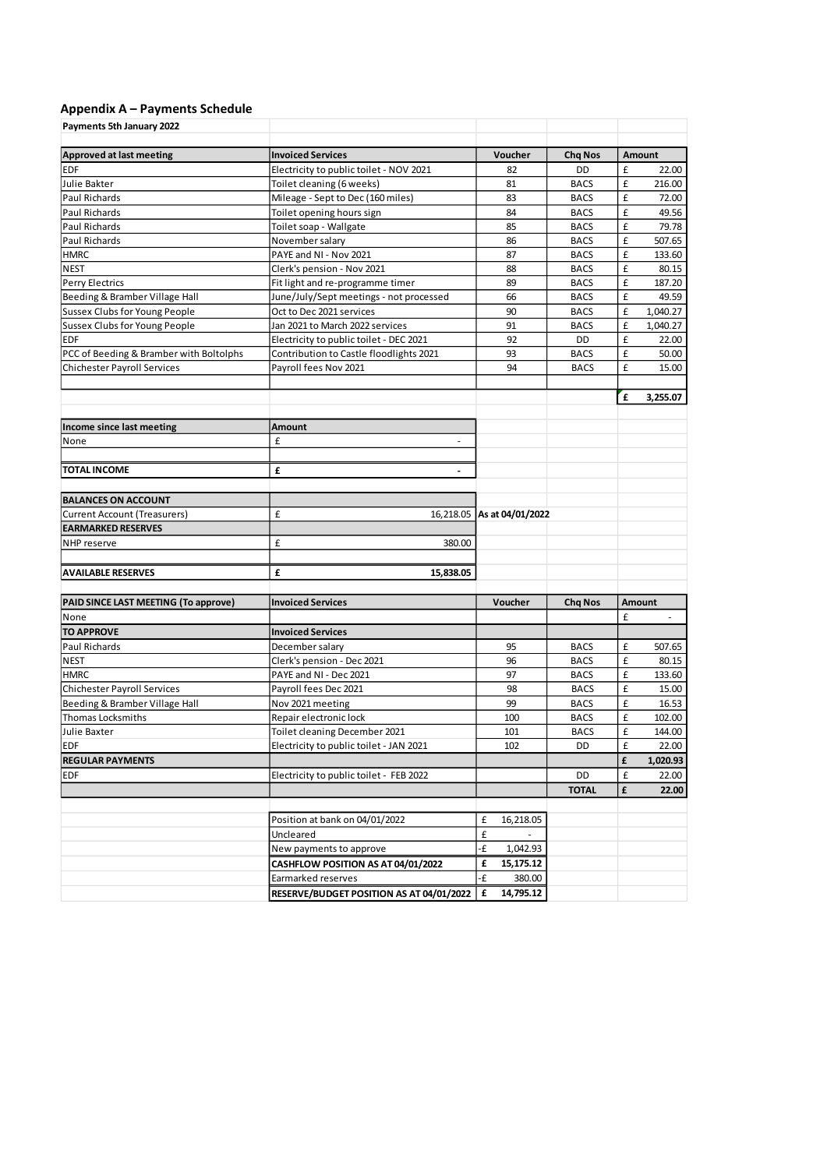# **Appendix A – Payments Schedule**

| Payments 5th January 2022               |                                          |                  |                |   |          |  |  |
|-----------------------------------------|------------------------------------------|------------------|----------------|---|----------|--|--|
| <b>Approved at last meeting</b>         | <b>Invoiced Services</b>                 | Voucher          | <b>Chq Nos</b> |   | Amount   |  |  |
| <b>EDF</b>                              | Electricity to public toilet - NOV 2021  | 82               | DD             | £ | 22.00    |  |  |
| Julie Bakter                            | Toilet cleaning (6 weeks)                | 81               | <b>BACS</b>    | £ | 216.00   |  |  |
| Paul Richards                           | Mileage - Sept to Dec (160 miles)        | 83               | <b>BACS</b>    | £ | 72.00    |  |  |
| Paul Richards                           | Toilet opening hours sign                | 84               | <b>BACS</b>    | £ | 49.56    |  |  |
| Paul Richards                           | Toilet soap - Wallgate                   | 85               | <b>BACS</b>    | £ | 79.78    |  |  |
| Paul Richards                           | November salary                          | 86               | <b>BACS</b>    | £ | 507.65   |  |  |
| <b>HMRC</b>                             | PAYE and NI - Nov 2021                   | 87               | <b>BACS</b>    | £ | 133.60   |  |  |
| <b>NEST</b>                             | Clerk's pension - Nov 2021               | 88               | <b>BACS</b>    | £ | 80.15    |  |  |
| <b>Perry Electrics</b>                  | Fit light and re-programme timer         | 89               | <b>BACS</b>    | £ | 187.20   |  |  |
| Beeding & Bramber Village Hall          | June/July/Sept meetings - not processed  | 66               | <b>BACS</b>    | £ | 49.59    |  |  |
| Sussex Clubs for Young People           | Oct to Dec 2021 services                 | 90               | <b>BACS</b>    | £ | 1,040.27 |  |  |
| Sussex Clubs for Young People           | Jan 2021 to March 2022 services          | 91               | <b>BACS</b>    | £ | 1,040.27 |  |  |
| <b>EDF</b>                              | Electricity to public toilet - DEC 2021  | 92               | DD             | £ | 22.00    |  |  |
| PCC of Beeding & Bramber with Boltolphs | Contribution to Castle floodlights 2021  | 93               | <b>BACS</b>    | £ | 50.00    |  |  |
| <b>Chichester Payroll Services</b>      | Payroll fees Nov 2021                    | 94               | <b>BACS</b>    | £ | 15.00    |  |  |
|                                         |                                          |                  |                |   |          |  |  |
|                                         |                                          |                  |                | £ | 3.255.07 |  |  |
| Income since last meeting               | Amount                                   |                  |                |   |          |  |  |
| None                                    | £                                        |                  |                |   |          |  |  |
|                                         |                                          |                  |                |   |          |  |  |
| <b>TOTAL INCOME</b>                     | £<br>$\blacksquare$                      |                  |                |   |          |  |  |
|                                         |                                          |                  |                |   |          |  |  |
| <b>BALANCES ON ACCOUNT</b>              |                                          |                  |                |   |          |  |  |
| <b>Current Account (Treasurers)</b>     | £<br>16,218.05                           | As at 04/01/2022 |                |   |          |  |  |
| <b>EARMARKED RESERVES</b>               |                                          |                  |                |   |          |  |  |
| NHP reserve                             | £<br>380.00                              |                  |                |   |          |  |  |
|                                         |                                          |                  |                |   |          |  |  |
| <b>AVAILABLE RESERVES</b>               | £<br>15,838.05                           |                  |                |   |          |  |  |
|                                         |                                          |                  |                |   |          |  |  |
| PAID SINCE LAST MEETING (To approve)    | <b>Invoiced Services</b>                 | Voucher          | <b>Chq Nos</b> |   | Amount   |  |  |
| None                                    |                                          |                  |                | £ |          |  |  |
| <b>TO APPROVE</b>                       | <b>Invoiced Services</b>                 |                  |                |   |          |  |  |
| Paul Richards                           | December salary                          | 95               | <b>BACS</b>    | £ | 507.65   |  |  |
| <b>NEST</b>                             | Clerk's pension - Dec 2021               | 96               | <b>BACS</b>    | £ | 80.15    |  |  |
| <b>HMRC</b>                             | PAYE and NI - Dec 2021                   | 97               | <b>BACS</b>    | £ | 133.60   |  |  |
| <b>Chichester Payroll Services</b>      | Payroll fees Dec 2021                    | 98               | <b>BACS</b>    | £ | 15.00    |  |  |
| Beeding & Bramber Village Hall          | Nov 2021 meeting                         | 99               | <b>BACS</b>    | £ | 16.53    |  |  |
| Thomas Locksmiths                       | Repair electronic lock                   | 100              | <b>BACS</b>    | £ | 102.00   |  |  |
| Julie Baxter                            | Toilet cleaning December 2021            | 101              | <b>BACS</b>    | £ | 144.00   |  |  |
| <b>EDF</b>                              | Electricity to public toilet - JAN 2021  | 102              | DD             | £ | 22.00    |  |  |
| <b>REGULAR PAYMENTS</b>                 |                                          |                  |                | £ | 1,020.93 |  |  |
| EDF                                     | Electricity to public toilet - FEB 2022  |                  | DD             | £ | 22.00    |  |  |
|                                         |                                          |                  | <b>TOTAL</b>   | £ | 22.00    |  |  |
|                                         |                                          |                  |                |   |          |  |  |
|                                         | Position at bank on 04/01/2022           | £<br>16,218.05   |                |   |          |  |  |
|                                         | Uncleared                                | £                |                |   |          |  |  |
|                                         | New payments to approve                  | ٠£<br>1,042.93   |                |   |          |  |  |
|                                         | CASHFLOW POSITION AS AT 04/01/2022       | £<br>15,175.12   |                |   |          |  |  |
|                                         | Earmarked reserves                       | ٠£<br>380.00     |                |   |          |  |  |
|                                         | RESERVE/BUDGET POSITION AS AT 04/01/2022 | 14,795.12<br>£   |                |   |          |  |  |